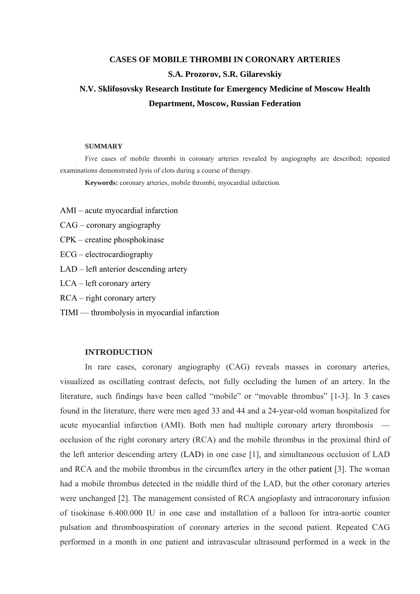# **CASES OF MOBILE THROMBI IN CORONARY ARTERIES S.A. Prozorov, S.R. Gilarevskiy N.V. Sklifosovsky Research Institute for Emergency Medicine of Moscow Health Department, Moscow, Russian Federation**

#### **SUMMARY**

Five cases of mobile thrombi in coronary arteries revealed by angiography are described; repeated examinations demonstrated lysis of clots during a course of therapy.

**Keywords:** coronary arteries, mobile thrombi, myocardial infarction.

- AMI acute myocardial infarction
- CAG coronary angiography
- CPK creatine phosphokinase
- ECG electrocardiography
- LAD left anterior descending artery

LCA – left coronary artery

- RCA right coronary artery
- TIMI thrombolysis in myocardial infarction

# **INTRODUCTION**

In rare cases, coronary angiography (CAG) reveals masses in coronary arteries, visualized as oscillating contrast defects, not fully occluding the lumen of an artery. In the literature, such findings have been called "mobile" or "movable thrombus" [1-3]. In 3 cases found in the literature, there were men aged 33 and 44 and a 24-year-old woman hospitalized for acute myocardial infarction (AMI). Both men had multiple coronary artery thrombosis occlusion of the right coronary artery (RCA) and the mobile thrombus in the proximal third of the left anterior descending artery (LAD) in one case [1], and simultaneous occlusion of LAD and RCA and the mobile thrombus in the circumflex artery in the other patient [3]. The woman had a mobile thrombus detected in the middle third of the LAD, but the other coronary arteries were unchanged [2]. The management consisted of RCA angioplasty and intracoronary infusion of tisokinase 6.400.000 IU in one case and installation of a balloon for intra-aortic counter pulsation and thromboaspiration of coronary arteries in the second patient. Repeated CAG performed in a month in one patient and intravascular ultrasound performed in a week in the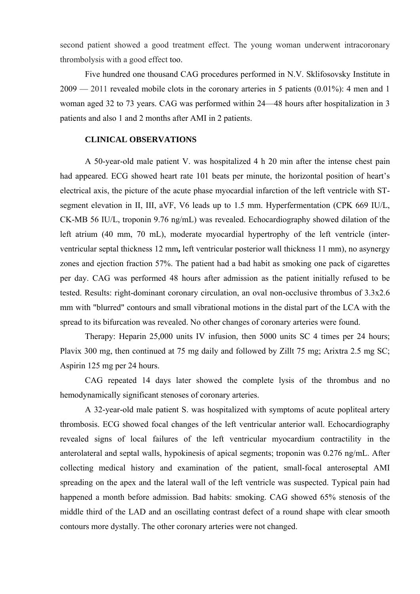second patient showed a good treatment effect. The young woman underwent intracoronary thrombolysis with a good effect too.

Five hundred one thousand CAG procedures performed in N.V. Sklifosovsky Institute in 2009 — 2011 revealed mobile clots in the coronary arteries in 5 patients (0.01%): 4 men and 1 woman aged 32 to 73 years. CAG was performed within 24—48 hours after hospitalization in 3 patients and also 1 and 2 months after AMI in 2 patients.

# **CLINICAL OBSERVATIONS**

A 50-year-old male patient V. was hospitalized 4 h 20 min after the intense chest pain had appeared. ECG showed heart rate 101 beats per minute, the horizontal position of heart's electrical axis, the picture of the acute phase myocardial infarction of the left ventricle with STsegment elevation in II, III, aVF, V6 leads up to 1.5 mm. Hyperfermentation (CPK 669 IU/L, CK-MB 56 IU/L, troponin 9.76 ng/mL) was revealed. Echocardiography showed dilation of the left atrium (40 mm, 70 mL), moderate myocardial hypertrophy of the left ventricle (interventricular septal thickness 12 mm**,** left ventricular posterior wall thickness 11 mm), no asynergy zones and ejection fraction 57%. The patient had a bad habit as smoking one pack of cigarettes per day. CAG was performed 48 hours after admission as the patient initially refused to be tested. Results: right-dominant coronary circulation, an oval non-occlusive thrombus of 3.3x2.6 mm with "blurred" contours and small vibrational motions in the distal part of the LCA with the spread to its bifurcation was revealed. No other changes of coronary arteries were found.

Therapy: Heparin 25,000 units IV infusion, then 5000 units SC 4 times per 24 hours; Plavix 300 mg, then continued at 75 mg daily and followed by Zillt 75 mg; Arixtra 2.5 mg SC; Aspirin 125 mg per 24 hours.

CAG repeated 14 days later showed the complete lysis of the thrombus and no hemodynamically significant stenoses of coronary arteries.

A 32-year-old male patient S. was hospitalized with symptoms of acute popliteal artery thrombosis. ECG showed focal changes of the left ventricular anterior wall. Echocardiography revealed signs of local failures of the left ventricular myocardium contractility in the anterolateral and septal walls, hypokinesis of apical segments; troponin was 0.276 ng/mL. After collecting medical history and examination of the patient, small-focal anteroseptal AMI spreading on the apex and the lateral wall of the left ventricle was suspected. Typical pain had happened a month before admission. Bad habits: smoking. CAG showed 65% stenosis of the middle third of the LAD and an oscillating contrast defect of a round shape with clear smooth contours more dystally. The other coronary arteries were not changed.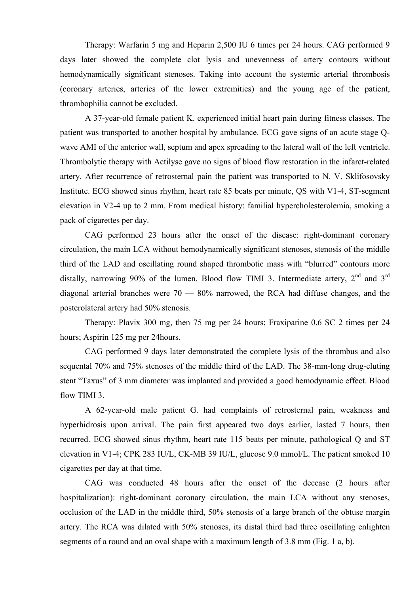Therapy: Warfarin 5 mg and Heparin 2,500 IU 6 times per 24 hours. CAG performed 9 days later showed the complete clot lysis and unevenness of artery contours without hemodynamically significant stenoses. Taking into account the systemic arterial thrombosis (coronary arteries, arteries of the lower extremities) and the young age of the patient, thrombophilia cannot be excluded.

A 37-year-old female patient K. experienced initial heart pain during fitness classes. The patient was transported to another hospital by ambulance. ECG gave signs of an acute stage Qwave AMI of the anterior wall, septum and apex spreading to the lateral wall of the left ventricle. Thrombolytic therapy with Actilyse gave no signs of blood flow restoration in the infarct-related artery. After recurrence of retrosternal pain the patient was transported to N. V. Sklifosovsky Institute. ECG showed sinus rhythm, heart rate 85 beats per minute, QS with V1-4, ST-segment elevation in V2-4 up to 2 mm. From medical history: familial hypercholesterolemia, smoking a pack of cigarettes per day.

CAG performed 23 hours after the onset of the disease: right-dominant coronary circulation, the main LCA without hemodynamically significant stenoses, stenosis of the middle third of the LAD and oscillating round shaped thrombotic mass with "blurred" contours more distally, narrowing 90% of the lumen. Blood flow TIMI 3. Intermediate artery,  $2<sup>nd</sup>$  and  $3<sup>rd</sup>$ diagonal arterial branches were  $70 - 80\%$  narrowed, the RCA had diffuse changes, and the posterolateral artery had 50% stenosis.

Therapy: Plavix 300 mg, then 75 mg per 24 hours; Fraxiparine 0.6 SC 2 times per 24 hours; Aspirin 125 mg per 24hours.

CAG performed 9 days later demonstrated the complete lysis of the thrombus and also sequental 70% and 75% stenoses of the middle third of the LAD. The 38-mm-long drug-eluting stent "Taxus" of 3 mm diameter was implanted and provided a good hemodynamic effect. Blood flow TIMI 3.

A 62-year-old male patient G. had complaints of retrosternal pain, weakness and hyperhidrosis upon arrival. The pain first appeared two days earlier, lasted 7 hours, then recurred. ECG showed sinus rhythm, heart rate 115 beats per minute, pathological Q and ST elevation in V1-4; CPK 283 IU/L, CK-MB 39 IU/L, glucose 9.0 mmol/L. The patient smoked 10 cigarettes per day at that time.

CAG was conducted 48 hours after the onset of the decease (2 hours after hospitalization): right-dominant coronary circulation, the main LCA without any stenoses, occlusion of the LAD in the middle third, 50% stenosis of a large branch of the obtuse margin artery. The RCA was dilated with 50% stenoses, its distal third had three oscillating enlighten segments of a round and an oval shape with a maximum length of 3.8 mm (Fig. 1 a, b).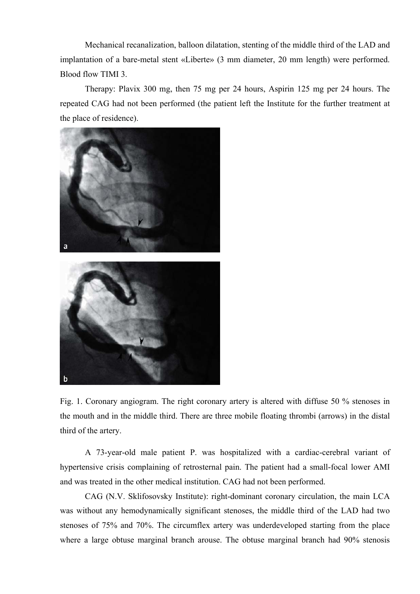Mechanical recanalization, balloon dilatation, stenting of the middle third of the LAD and implantation of a bare-metal stent «Liberte» (3 mm diameter, 20 mm length) were performed. Blood flow TIMI 3.

Therapy: Plavix 300 mg, then 75 mg per 24 hours, Aspirin 125 mg per 24 hours. The repeated CAG had not been performed (the patient left the Institute for the further treatment at the place of residence).



Fig. 1. Coronary angiogram. The right coronary artery is altered with diffuse 50 % stenoses in the mouth and in the middle third. There are three mobile floating thrombi (arrows) in the distal third of the artery.

A 73-year-old male patient P. was hospitalized with a cardiac-cerebral variant of hypertensive crisis complaining of retrosternal pain. The patient had a small-focal lower AMI and was treated in the other medical institution. CAG had not been performed.

CAG (N.V. Sklifosovsky Institute): right-dominant coronary circulation, the main LCA was without any hemodynamically significant stenoses, the middle third of the LAD had two stenoses of 75% and 70%. The circumflex artery was underdeveloped starting from the place where a large obtuse marginal branch arouse. The obtuse marginal branch had 90% stenosis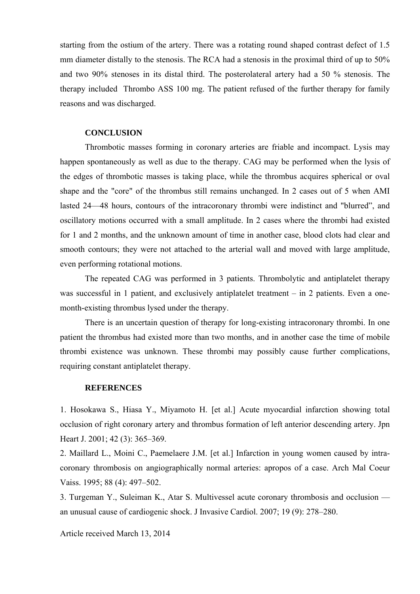starting from the ostium of the artery. There was a rotating round shaped contrast defect of 1.5 mm diameter distally to the stenosis. The RCA had a stenosis in the proximal third of up to 50% and two 90% stenoses in its distal third. The posterolateral artery had a 50 % stenosis. The therapy included Thrombo ASS 100 mg. The patient refused of the further therapy for family reasons and was discharged.

### **CONCLUSION**

Thrombotic masses forming in coronary arteries are friable and incompact. Lysis may happen spontaneously as well as due to the therapy. CAG may be performed when the lysis of the edges of thrombotic masses is taking place, while the thrombus acquires spherical or oval shape and the "core" of the thrombus still remains unchanged. In 2 cases out of 5 when AMI lasted 24—48 hours, contours of the intracoronary thrombi were indistinct and "blurred", and oscillatory motions occurred with a small amplitude. In 2 cases where the thrombi had existed for 1 and 2 months, and the unknown amount of time in another case, blood clots had clear and smooth contours; they were not attached to the arterial wall and moved with large amplitude, even performing rotational motions.

The repeated CAG was performed in 3 patients. Thrombolytic and antiplatelet therapy was successful in 1 patient, and exclusively antiplatelet treatment – in 2 patients. Even a onemonth-existing thrombus lysed under the therapy.

There is an uncertain question of therapy for long-existing intracoronary thrombi. In one patient the thrombus had existed more than two months, and in another case the time of mobile thrombi existence was unknown. These thrombi may possibly cause further complications, requiring constant antiplatelet therapy.

## **REFERENCES**

1. Hosokawa S., Hiasa Y., Miyamoto H. [et al.] Acute myocardial infarction showing total occlusion of right coronary artery and thrombus formation of left anterior descending artery. Jpn Heart J. 2001; 42 (3): 365–369.

2. Maillard L., Moini C., Paemelaere J.M. [et al.] Infarction in young women caused by intracoronary thrombosis on angiographically normal arteries: apropos of a case. Arch Mal Coeur Vaiss. 1995; 88 (4): 497–502.

3. Turgeman Y., Suleiman K., Atar S. Multivessel acute coronary thrombosis and occlusion an unusual cause of cardiogenic shock. J Invasive Cardiol. 2007; 19 (9): 278–280.

Article received March 13, 2014